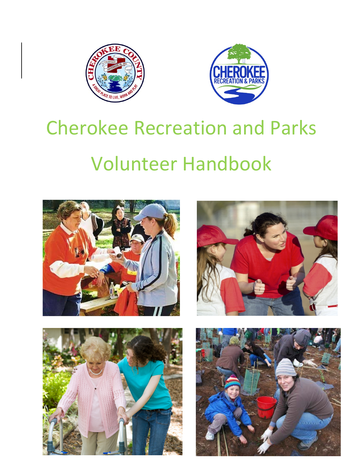



# Cherokee Recreation and Parks Volunteer Handbook







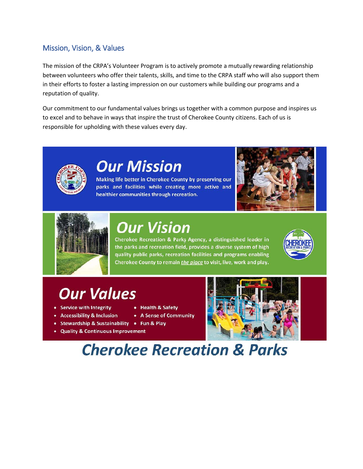# Mission, Vision, & Values

The mission of the CRPA's Volunteer Program is to actively promote a mutually rewarding relationship between volunteers who offer their talents, skills, and time to the CRPA staff who will also support them in their efforts to foster a lasting impression on our customers while building our programs and a reputation of quality.

Our commitment to our fundamental values brings us together with a common purpose and inspires us to excel and to behave in ways that inspire the trust of Cherokee County citizens. Each of us is responsible for upholding with these values every day.



# **Our Mission**

Making life better in Cherokee County by preserving our parks and facilities while creating more active and healthier communities through recreation.





# **Our Vision**

• Health & Safety

• A Sense of Community

Cherokee Recreation & Parks Agency, a distinguished leader in the parks and recreation field, provides a diverse system of high quality public parks, recreation facilities and programs enabling Cherokee County to remain *the place* to visit, live, work and play.



# **Our Values**

- Service with Integrity
- Accessibility & Inclusion
- Stewardship & Sustainability Fun & Play
- Quality & Continuous Improvement



# **Cherokee Recreation & Parks**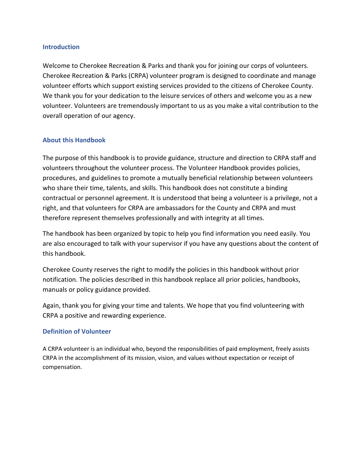#### **Introduction**

Welcome to Cherokee Recreation & Parks and thank you for joining our corps of volunteers. Cherokee Recreation & Parks (CRPA) volunteer program is designed to coordinate and manage volunteer efforts which support existing services provided to the citizens of Cherokee County. We thank you for your dedication to the leisure services of others and welcome you as a new volunteer. Volunteers are tremendously important to us as you make a vital contribution to the overall operation of our agency.

#### **About this Handbook**

The purpose of this handbook is to provide guidance, structure and direction to CRPA staff and volunteers throughout the volunteer process. The Volunteer Handbook provides policies, procedures, and guidelines to promote a mutually beneficial relationship between volunteers who share their time, talents, and skills. This handbook does not constitute a binding contractual or personnel agreement. It is understood that being a volunteer is a privilege, not a right, and that volunteers for CRPA are ambassadors for the County and CRPA and must therefore represent themselves professionally and with integrity at all times.

The handbook has been organized by topic to help you find information you need easily. You are also encouraged to talk with your supervisor if you have any questions about the content of this handbook.

Cherokee County reserves the right to modify the policies in this handbook without prior notification. The policies described in this handbook replace all prior policies, handbooks, manuals or policy guidance provided.

Again, thank you for giving your time and talents. We hope that you find volunteering with CRPA a positive and rewarding experience.

#### **Definition of Volunteer**

A CRPA volunteer is an individual who, beyond the responsibilities of paid employment, freely assists CRPA in the accomplishment of its mission, vision, and values without expectation or receipt of compensation.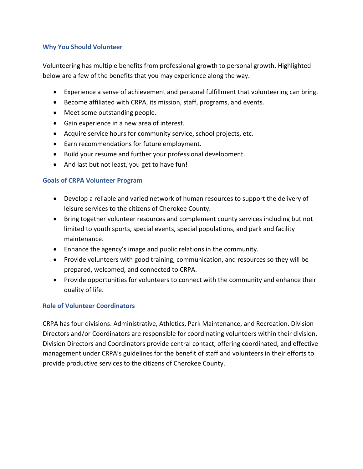#### **Why You Should Volunteer**

Volunteering has multiple benefits from professional growth to personal growth. Highlighted below are a few of the benefits that you may experience along the way.

- Experience a sense of achievement and personal fulfillment that volunteering can bring.
- Become affiliated with CRPA, its mission, staff, programs, and events.
- Meet some outstanding people.
- Gain experience in a new area of interest.
- Acquire service hours for community service, school projects, etc.
- Earn recommendations for future employment.
- Build your resume and further your professional development.
- And last but not least, you get to have fun!

#### **Goals of CRPA Volunteer Program**

- Develop a reliable and varied network of human resources to support the delivery of leisure services to the citizens of Cherokee County.
- Bring together volunteer resources and complement county services including but not limited to youth sports, special events, special populations, and park and facility maintenance.
- Enhance the agency's image and public relations in the community.
- Provide volunteers with good training, communication, and resources so they will be prepared, welcomed, and connected to CRPA.
- Provide opportunities for volunteers to connect with the community and enhance their quality of life.

# **Role of Volunteer Coordinators**

CRPA has four divisions: Administrative, Athletics, Park Maintenance, and Recreation. Division Directors and/or Coordinators are responsible for coordinating volunteers within their division. Division Directors and Coordinators provide central contact, offering coordinated, and effective management under CRPA's guidelines for the benefit of staff and volunteers in their efforts to provide productive services to the citizens of Cherokee County.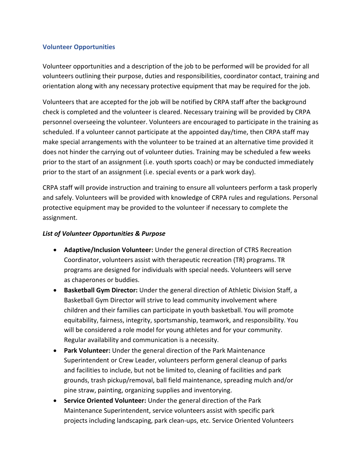#### **Volunteer Opportunities**

Volunteer opportunities and a description of the job to be performed will be provided for all volunteers outlining their purpose, duties and responsibilities, coordinator contact, training and orientation along with any necessary protective equipment that may be required for the job.

Volunteers that are accepted for the job will be notified by CRPA staff after the background check is completed and the volunteer is cleared. Necessary training will be provided by CRPA personnel overseeing the volunteer. Volunteers are encouraged to participate in the training as scheduled. If a volunteer cannot participate at the appointed day/time, then CRPA staff may make special arrangements with the volunteer to be trained at an alternative time provided it does not hinder the carrying out of volunteer duties. Training may be scheduled a few weeks prior to the start of an assignment (i.e. youth sports coach) or may be conducted immediately prior to the start of an assignment (i.e. special events or a park work day).

CRPA staff will provide instruction and training to ensure all volunteers perform a task properly and safely. Volunteers will be provided with knowledge of CRPA rules and regulations. Personal protective equipment may be provided to the volunteer if necessary to complete the assignment.

#### *List of Volunteer Opportunities & Purpose*

- **Adaptive/Inclusion Volunteer:** Under the general direction of CTRS Recreation Coordinator, volunteers assist with therapeutic recreation (TR) programs. TR programs are designed for individuals with special needs. Volunteers will serve as chaperones or buddies.
- **Basketball Gym Director:** Under the general direction of Athletic Division Staff, a Basketball Gym Director will strive to lead community involvement where children and their families can participate in youth basketball. You will promote equitability, fairness, integrity, sportsmanship, teamwork, and responsibility. You will be considered a role model for young athletes and for your community. Regular availability and communication is a necessity.
- **Park Volunteer:** Under the general direction of the Park Maintenance Superintendent or Crew Leader, volunteers perform general cleanup of parks and facilities to include, but not be limited to, cleaning of facilities and park grounds, trash pickup/removal, ball field maintenance, spreading mulch and/or pine straw, painting, organizing supplies and inventorying.
- **Service Oriented Volunteer:** Under the general direction of the Park Maintenance Superintendent, service volunteers assist with specific park projects including landscaping, park clean-ups, etc. Service Oriented Volunteers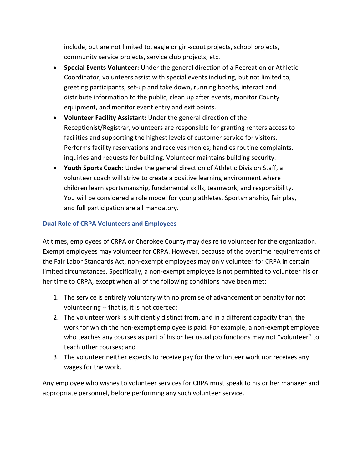include, but are not limited to, eagle or girl-scout projects, school projects, community service projects, service club projects, etc.

- **Special Events Volunteer:** Under the general direction of a Recreation or Athletic Coordinator, volunteers assist with special events including, but not limited to, greeting participants, set-up and take down, running booths, interact and distribute information to the public, clean up after events, monitor County equipment, and monitor event entry and exit points.
- **Volunteer Facility Assistant:** Under the general direction of the Receptionist/Registrar, volunteers are responsible for granting renters access to facilities and supporting the highest levels of customer service for visitors. Performs facility reservations and receives monies; handles routine complaints, inquiries and requests for building. Volunteer maintains building security.
- **Youth Sports Coach:** Under the general direction of Athletic Division Staff, a volunteer coach will strive to create a positive learning environment where children learn sportsmanship, fundamental skills, teamwork, and responsibility. You will be considered a role model for young athletes. Sportsmanship, fair play, and full participation are all mandatory.

# **Dual Role of CRPA Volunteers and Employees**

At times, employees of CRPA or Cherokee County may desire to volunteer for the organization. Exempt employees may volunteer for CRPA. However, because of the overtime requirements of the Fair Labor Standards Act, non-exempt employees may only volunteer for CRPA in certain limited circumstances. Specifically, a non-exempt employee is not permitted to volunteer his or her time to CRPA, except when all of the following conditions have been met:

- 1. The service is entirely voluntary with no promise of advancement or penalty for not volunteering -- that is, it is not coerced;
- 2. The volunteer work is sufficiently distinct from, and in a different capacity than, the work for which the non-exempt employee is paid. For example, a non-exempt employee who teaches any courses as part of his or her usual job functions may not "volunteer" to teach other courses; and
- 3. The volunteer neither expects to receive pay for the volunteer work nor receives any wages for the work.

Any employee who wishes to volunteer services for CRPA must speak to his or her manager and appropriate personnel, before performing any such volunteer service.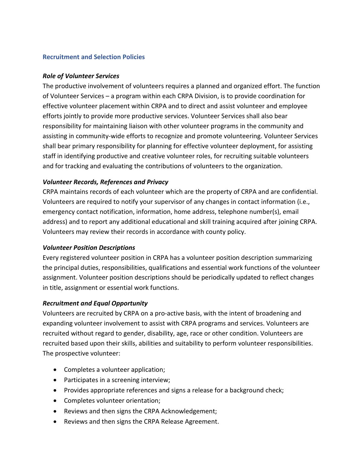#### **Recruitment and Selection Policies**

#### *Role of Volunteer Services*

The productive involvement of volunteers requires a planned and organized effort. The function of Volunteer Services – a program within each CRPA Division, is to provide coordination for effective volunteer placement within CRPA and to direct and assist volunteer and employee efforts jointly to provide more productive services. Volunteer Services shall also bear responsibility for maintaining liaison with other volunteer programs in the community and assisting in community-wide efforts to recognize and promote volunteering. Volunteer Services shall bear primary responsibility for planning for effective volunteer deployment, for assisting staff in identifying productive and creative volunteer roles, for recruiting suitable volunteers and for tracking and evaluating the contributions of volunteers to the organization.

# *Volunteer Records, References and Privacy*

CRPA maintains records of each volunteer which are the property of CRPA and are confidential. Volunteers are required to notify your supervisor of any changes in contact information (i.e., emergency contact notification, information, home address, telephone number(s), email address) and to report any additional educational and skill training acquired after joining CRPA. Volunteers may review their records in accordance with county policy.

# *Volunteer Position Descriptions*

Every registered volunteer position in CRPA has a volunteer position description summarizing the principal duties, responsibilities, qualifications and essential work functions of the volunteer assignment. Volunteer position descriptions should be periodically updated to reflect changes in title, assignment or essential work functions.

# *Recruitment and Equal Opportunity*

Volunteers are recruited by CRPA on a pro-active basis, with the intent of broadening and expanding volunteer involvement to assist with CRPA programs and services. Volunteers are recruited without regard to gender, disability, age, race or other condition. Volunteers are recruited based upon their skills, abilities and suitability to perform volunteer responsibilities. The prospective volunteer:

- Completes a volunteer application;
- Participates in a screening interview;
- Provides appropriate references and signs a release for a background check;
- Completes volunteer orientation;
- Reviews and then signs the CRPA Acknowledgement;
- Reviews and then signs the CRPA Release Agreement.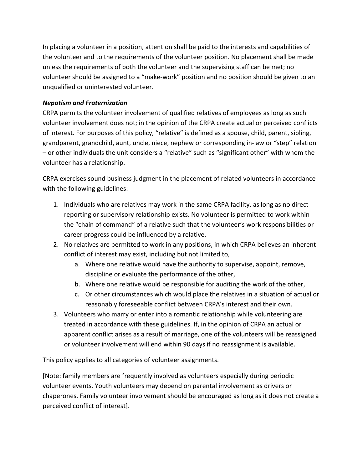In placing a volunteer in a position, attention shall be paid to the interests and capabilities of the volunteer and to the requirements of the volunteer position. No placement shall be made unless the requirements of both the volunteer and the supervising staff can be met; no volunteer should be assigned to a "make-work" position and no position should be given to an unqualified or uninterested volunteer.

# *Nepotism and Fraternization*

CRPA permits the volunteer involvement of qualified relatives of employees as long as such volunteer involvement does not; in the opinion of the CRPA create actual or perceived conflicts of interest. For purposes of this policy, "relative" is defined as a spouse, child, parent, sibling, grandparent, grandchild, aunt, uncle, niece, nephew or corresponding in-law or "step" relation – or other individuals the unit considers a "relative" such as "significant other" with whom the volunteer has a relationship.

CRPA exercises sound business judgment in the placement of related volunteers in accordance with the following guidelines:

- 1. Individuals who are relatives may work in the same CRPA facility, as long as no direct reporting or supervisory relationship exists. No volunteer is permitted to work within the "chain of command" of a relative such that the volunteer's work responsibilities or career progress could be influenced by a relative.
- 2. No relatives are permitted to work in any positions, in which CRPA believes an inherent conflict of interest may exist, including but not limited to,
	- a. Where one relative would have the authority to supervise, appoint, remove, discipline or evaluate the performance of the other,
	- b. Where one relative would be responsible for auditing the work of the other,
	- c. Or other circumstances which would place the relatives in a situation of actual or reasonably foreseeable conflict between CRPA's interest and their own.
- 3. Volunteers who marry or enter into a romantic relationship while volunteering are treated in accordance with these guidelines. If, in the opinion of CRPA an actual or apparent conflict arises as a result of marriage, one of the volunteers will be reassigned or volunteer involvement will end within 90 days if no reassignment is available.

This policy applies to all categories of volunteer assignments.

[Note: family members are frequently involved as volunteers especially during periodic volunteer events. Youth volunteers may depend on parental involvement as drivers or chaperones. Family volunteer involvement should be encouraged as long as it does not create a perceived conflict of interest].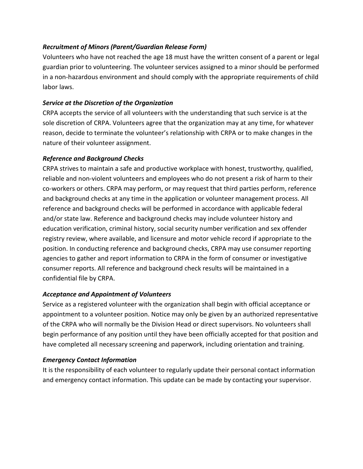# *Recruitment of Minors (Parent/Guardian Release Form)*

Volunteers who have not reached the age 18 must have the written consent of a parent or legal guardian prior to volunteering. The volunteer services assigned to a minor should be performed in a non-hazardous environment and should comply with the appropriate requirements of child labor laws.

# *Service at the Discretion of the Organization*

CRPA accepts the service of all volunteers with the understanding that such service is at the sole discretion of CRPA. Volunteers agree that the organization may at any time, for whatever reason, decide to terminate the volunteer's relationship with CRPA or to make changes in the nature of their volunteer assignment.

# *Reference and Background Checks*

CRPA strives to maintain a safe and productive workplace with honest, trustworthy, qualified, reliable and non-violent volunteers and employees who do not present a risk of harm to their co-workers or others. CRPA may perform, or may request that third parties perform, reference and background checks at any time in the application or volunteer management process. All reference and background checks will be performed in accordance with applicable federal and/or state law. Reference and background checks may include volunteer history and education verification, criminal history, social security number verification and sex offender registry review, where available, and licensure and motor vehicle record if appropriate to the position. In conducting reference and background checks, CRPA may use consumer reporting agencies to gather and report information to CRPA in the form of consumer or investigative consumer reports. All reference and background check results will be maintained in a confidential file by CRPA.

# *Acceptance and Appointment of Volunteers*

Service as a registered volunteer with the organization shall begin with official acceptance or appointment to a volunteer position. Notice may only be given by an authorized representative of the CRPA who will normally be the Division Head or direct supervisors. No volunteers shall begin performance of any position until they have been officially accepted for that position and have completed all necessary screening and paperwork, including orientation and training.

# *Emergency Contact Information*

It is the responsibility of each volunteer to regularly update their personal contact information and emergency contact information. This update can be made by contacting your supervisor.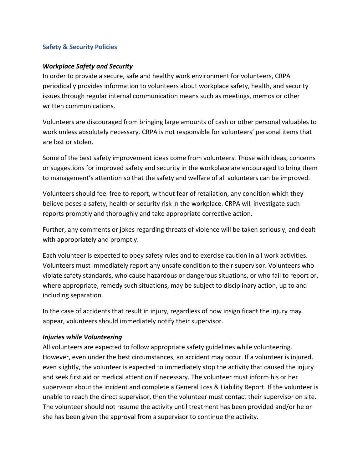#### **Safety & Security Policies**

#### *Workplace Safety and Security*

In order to provide a secure, safe and healthy work environment for volunteers, CRPA periodically provides information to volunteers about workplace safety, health, and security issues through regular internal communication means such as meetings, memos or other written communications.

Volunteers are discouraged from bringing large amounts of cash or other personal valuables to work unless absolutely necessary. CRPA is not responsible for volunteers' personal items that are lost or stolen.

Some of the best safety improvement ideas come from volunteers. Those with ideas, concerns or suggestions for improved safety and security in the workplace are encouraged to bring them to management's attention so that the safety and welfare of all volunteers can be improved.

Volunteers should feel free to report, without fear of retaliation, any condition which they believe poses a safety, health or security risk in the workplace. CRPA will investigate such reports promptly and thoroughly and take appropriate corrective action.

Further, any comments or jokes regarding threats of violence will be taken seriously, and dealt with appropriately and promptly.

Each volunteer is expected to obey safety rules and to exercise caution in all work activities. Volunteers must immediately report any unsafe condition to their supervisor. Volunteers who violate safety standards, who cause hazardous or dangerous situations, or who fail to report or, where appropriate, remedy such situations, may be subject to disciplinary action, up to and including separation.

In the case of accidents that result in injury, regardless of how insignificant the injury may appear, volunteers should immediately notify their supervisor.

#### *Injuries while Volunteering*

All volunteers are expected to follow appropriate safety guidelines while volunteering. However, even under the best circumstances, an accident may occur. If a volunteer is injured, even slightly, the volunteer is expected to immediately stop the activity that caused the injury and seek first aid or medical attention if necessary. The volunteer must inform his or her supervisor about the incident and complete a General Loss & Liability Report. If the volunteer is unable to reach the direct supervisor, then the volunteer must contact their supervisor on site. The volunteer should not resume the activity until treatment has been provided and/or he or she has been given the approval from a supervisor to continue the activity.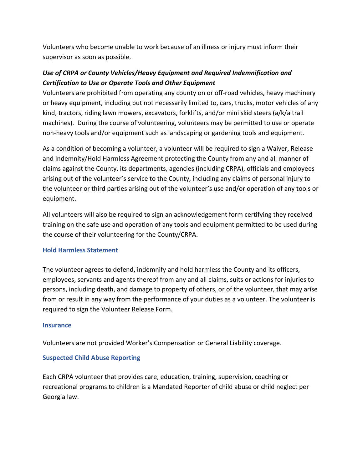Volunteers who become unable to work because of an illness or injury must inform their supervisor as soon as possible.

# *Use of CRPA or County Vehicles/Heavy Equipment and Required Indemnification and Certification to Use or Operate Tools and Other Equipment*

Volunteers are prohibited from operating any county on or off-road vehicles, heavy machinery or heavy equipment, including but not necessarily limited to, cars, trucks, motor vehicles of any kind, tractors, riding lawn mowers, excavators, forklifts, and/or mini skid steers (a/k/a trail machines). During the course of volunteering, volunteers may be permitted to use or operate non-heavy tools and/or equipment such as landscaping or gardening tools and equipment.

As a condition of becoming a volunteer, a volunteer will be required to sign a Waiver, Release and Indemnity/Hold Harmless Agreement protecting the County from any and all manner of claims against the County, its departments, agencies (including CRPA), officials and employees arising out of the volunteer's service to the County, including any claims of personal injury to the volunteer or third parties arising out of the volunteer's use and/or operation of any tools or equipment.

All volunteers will also be required to sign an acknowledgement form certifying they received training on the safe use and operation of any tools and equipment permitted to be used during the course of their volunteering for the County/CRPA.

#### **Hold Harmless Statement**

The volunteer agrees to defend, indemnify and hold harmless the County and its officers, employees, servants and agents thereof from any and all claims, suits or actions for injuries to persons, including death, and damage to property of others, or of the volunteer, that may arise from or result in any way from the performance of your duties as a volunteer. The volunteer is required to sign the Volunteer Release Form.

#### **Insurance**

Volunteers are not provided Worker's Compensation or General Liability coverage.

#### **Suspected Child Abuse Reporting**

Each CRPA volunteer that provides care, education, training, supervision, coaching or recreational programs to children is a Mandated Reporter of child abuse or child neglect per Georgia law.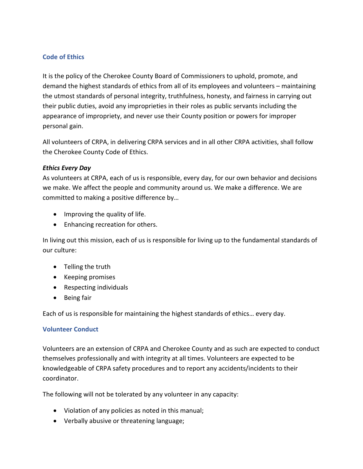# **Code of Ethics**

It is the policy of the Cherokee County Board of Commissioners to uphold, promote, and demand the highest standards of ethics from all of its employees and volunteers – maintaining the utmost standards of personal integrity, truthfulness, honesty, and fairness in carrying out their public duties, avoid any improprieties in their roles as public servants including the appearance of impropriety, and never use their County position or powers for improper personal gain.

All volunteers of CRPA, in delivering CRPA services and in all other CRPA activities, shall follow the Cherokee County Code of Ethics.

#### *Ethics Every Day*

As volunteers at CRPA, each of us is responsible, every day, for our own behavior and decisions we make. We affect the people and community around us. We make a difference. We are committed to making a positive difference by…

- Improving the quality of life.
- Enhancing recreation for others.

In living out this mission, each of us is responsible for living up to the fundamental standards of our culture:

- Telling the truth
- Keeping promises
- Respecting individuals
- Being fair

Each of us is responsible for maintaining the highest standards of ethics… every day.

# **Volunteer Conduct**

Volunteers are an extension of CRPA and Cherokee County and as such are expected to conduct themselves professionally and with integrity at all times. Volunteers are expected to be knowledgeable of CRPA safety procedures and to report any accidents/incidents to their coordinator.

The following will not be tolerated by any volunteer in any capacity:

- Violation of any policies as noted in this manual;
- Verbally abusive or threatening language;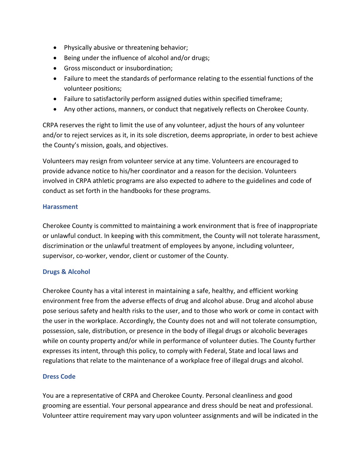- Physically abusive or threatening behavior;
- Being under the influence of alcohol and/or drugs;
- Gross misconduct or insubordination;
- Failure to meet the standards of performance relating to the essential functions of the volunteer positions;
- Failure to satisfactorily perform assigned duties within specified timeframe;
- Any other actions, manners, or conduct that negatively reflects on Cherokee County.

CRPA reserves the right to limit the use of any volunteer, adjust the hours of any volunteer and/or to reject services as it, in its sole discretion, deems appropriate, in order to best achieve the County's mission, goals, and objectives.

Volunteers may resign from volunteer service at any time. Volunteers are encouraged to provide advance notice to his/her coordinator and a reason for the decision. Volunteers involved in CRPA athletic programs are also expected to adhere to the guidelines and code of conduct as set forth in the handbooks for these programs.

#### **Harassment**

Cherokee County is committed to maintaining a work environment that is free of inappropriate or unlawful conduct. In keeping with this commitment, the County will not tolerate harassment, discrimination or the unlawful treatment of employees by anyone, including volunteer, supervisor, co-worker, vendor, client or customer of the County.

# **Drugs & Alcohol**

Cherokee County has a vital interest in maintaining a safe, healthy, and efficient working environment free from the adverse effects of drug and alcohol abuse. Drug and alcohol abuse pose serious safety and health risks to the user, and to those who work or come in contact with the user in the workplace. Accordingly, the County does not and will not tolerate consumption, possession, sale, distribution, or presence in the body of illegal drugs or alcoholic beverages while on county property and/or while in performance of volunteer duties. The County further expresses its intent, through this policy, to comply with Federal, State and local laws and regulations that relate to the maintenance of a workplace free of illegal drugs and alcohol.

# **Dress Code**

You are a representative of CRPA and Cherokee County. Personal cleanliness and good grooming are essential. Your personal appearance and dress should be neat and professional. Volunteer attire requirement may vary upon volunteer assignments and will be indicated in the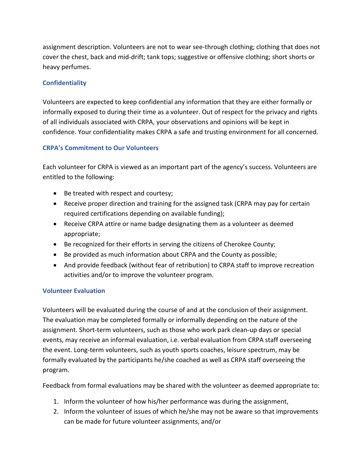assignment description. Volunteers are not to wear see-through clothing; clothing that does not cover the chest, back and mid-drift; tank tops; suggestive or offensive clothing; short shorts or heavy perfumes.

# **Confidentiality**

Volunteers are expected to keep confidential any information that they are either formally or informally exposed to during their time as a volunteer. Out of respect for the privacy and rights of all individuals associated with CRPA, your observations and opinions will be kept in confidence. Your confidentiality makes CRPA a safe and trusting environment for all concerned.

# **CRPA's Commitment to Our Volunteers**

Each volunteer for CRPA is viewed as an important part of the agency's success. Volunteers are entitled to the following:

- Be treated with respect and courtesy;
- Receive proper direction and training for the assigned task (CRPA may pay for certain required certifications depending on available funding);
- Receive CRPA attire or name badge designating them as a volunteer as deemed appropriate;
- Be recognized for their efforts in serving the citizens of Cherokee County;
- Be provided as much information about CRPA and the County as possible;
- And provide feedback (without fear of retribution) to CRPA staff to improve recreation activities and/or to improve the volunteer program.

# **Volunteer Evaluation**

Volunteers will be evaluated during the course of and at the conclusion of their assignment. The evaluation may be completed formally or informally depending on the nature of the assignment. Short-term volunteers, such as those who work park clean-up days or special events, may receive an informal evaluation, i.e. verbal evaluation from CRPA staff overseeing the event. Long-term volunteers, such as youth sports coaches, leisure spectrum, may be formally evaluated by the participants he/she coached as well as CRPA staff overseeing the program.

Feedback from formal evaluations may be shared with the volunteer as deemed appropriate to:

- 1. Inform the volunteer of how his/her performance was during the assignment,
- 2. Inform the volunteer of issues of which he/she may not be aware so that improvements can be made for future volunteer assignments, and/or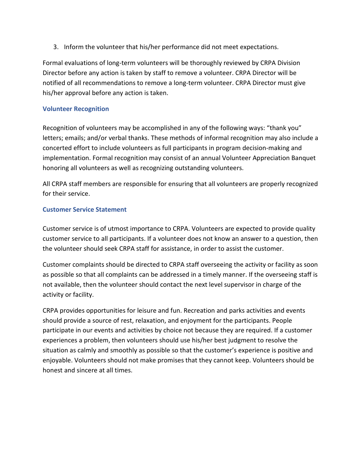3. Inform the volunteer that his/her performance did not meet expectations.

Formal evaluations of long-term volunteers will be thoroughly reviewed by CRPA Division Director before any action is taken by staff to remove a volunteer. CRPA Director will be notified of all recommendations to remove a long-term volunteer. CRPA Director must give his/her approval before any action is taken.

# **Volunteer Recognition**

Recognition of volunteers may be accomplished in any of the following ways: "thank you" letters; emails; and/or verbal thanks. These methods of informal recognition may also include a concerted effort to include volunteers as full participants in program decision-making and implementation. Formal recognition may consist of an annual Volunteer Appreciation Banquet honoring all volunteers as well as recognizing outstanding volunteers.

All CRPA staff members are responsible for ensuring that all volunteers are properly recognized for their service.

# **Customer Service Statement**

Customer service is of utmost importance to CRPA. Volunteers are expected to provide quality customer service to all participants. If a volunteer does not know an answer to a question, then the volunteer should seek CRPA staff for assistance, in order to assist the customer.

Customer complaints should be directed to CRPA staff overseeing the activity or facility as soon as possible so that all complaints can be addressed in a timely manner. If the overseeing staff is not available, then the volunteer should contact the next level supervisor in charge of the activity or facility.

CRPA provides opportunities for leisure and fun. Recreation and parks activities and events should provide a source of rest, relaxation, and enjoyment for the participants. People participate in our events and activities by choice not because they are required. If a customer experiences a problem, then volunteers should use his/her best judgment to resolve the situation as calmly and smoothly as possible so that the customer's experience is positive and enjoyable. Volunteers should not make promises that they cannot keep. Volunteers should be honest and sincere at all times.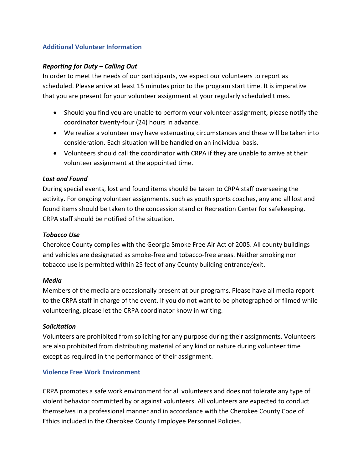# **Additional Volunteer Information**

### *Reporting for Duty – Calling Out*

In order to meet the needs of our participants, we expect our volunteers to report as scheduled. Please arrive at least 15 minutes prior to the program start time. It is imperative that you are present for your volunteer assignment at your regularly scheduled times.

- Should you find you are unable to perform your volunteer assignment, please notify the coordinator twenty-four (24) hours in advance.
- We realize a volunteer may have extenuating circumstances and these will be taken into consideration. Each situation will be handled on an individual basis.
- Volunteers should call the coordinator with CRPA if they are unable to arrive at their volunteer assignment at the appointed time.

#### *Lost and Found*

During special events, lost and found items should be taken to CRPA staff overseeing the activity. For ongoing volunteer assignments, such as youth sports coaches, any and all lost and found items should be taken to the concession stand or Recreation Center for safekeeping. CRPA staff should be notified of the situation.

### *Tobacco Use*

Cherokee County complies with the Georgia Smoke Free Air Act of 2005. All county buildings and vehicles are designated as smoke-free and tobacco-free areas. Neither smoking nor tobacco use is permitted within 25 feet of any County building entrance/exit.

#### *Media*

Members of the media are occasionally present at our programs. Please have all media report to the CRPA staff in charge of the event. If you do not want to be photographed or filmed while volunteering, please let the CRPA coordinator know in writing.

#### *Solicitation*

Volunteers are prohibited from soliciting for any purpose during their assignments. Volunteers are also prohibited from distributing material of any kind or nature during volunteer time except as required in the performance of their assignment.

#### **Violence Free Work Environment**

CRPA promotes a safe work environment for all volunteers and does not tolerate any type of violent behavior committed by or against volunteers. All volunteers are expected to conduct themselves in a professional manner and in accordance with the Cherokee County Code of Ethics included in the Cherokee County Employee Personnel Policies.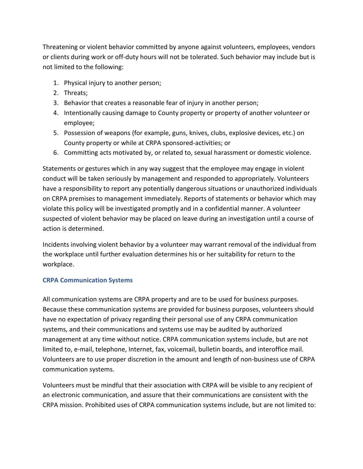Threatening or violent behavior committed by anyone against volunteers, employees, vendors or clients during work or off-duty hours will not be tolerated. Such behavior may include but is not limited to the following:

- 1. Physical injury to another person;
- 2. Threats;
- 3. Behavior that creates a reasonable fear of injury in another person;
- 4. Intentionally causing damage to County property or property of another volunteer or employee;
- 5. Possession of weapons (for example, guns, knives, clubs, explosive devices, etc.) on County property or while at CRPA sponsored-activities; or
- 6. Committing acts motivated by, or related to, sexual harassment or domestic violence.

Statements or gestures which in any way suggest that the employee may engage in violent conduct will be taken seriously by management and responded to appropriately. Volunteers have a responsibility to report any potentially dangerous situations or unauthorized individuals on CRPA premises to management immediately. Reports of statements or behavior which may violate this policy will be investigated promptly and in a confidential manner. A volunteer suspected of violent behavior may be placed on leave during an investigation until a course of action is determined.

Incidents involving violent behavior by a volunteer may warrant removal of the individual from the workplace until further evaluation determines his or her suitability for return to the workplace.

#### **CRPA Communication Systems**

All communication systems are CRPA property and are to be used for business purposes. Because these communication systems are provided for business purposes, volunteers should have no expectation of privacy regarding their personal use of any CRPA communication systems, and their communications and systems use may be audited by authorized management at any time without notice. CRPA communication systems include, but are not limited to, e-mail, telephone, Internet, fax, voicemail, bulletin boards, and interoffice mail. Volunteers are to use proper discretion in the amount and length of non-business use of CRPA communication systems.

Volunteers must be mindful that their association with CRPA will be visible to any recipient of an electronic communication, and assure that their communications are consistent with the CRPA mission. Prohibited uses of CRPA communication systems include, but are not limited to: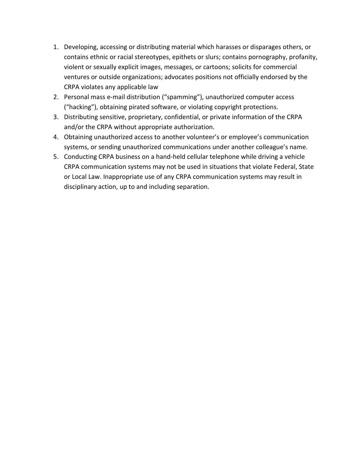- 1. Developing, accessing or distributing material which harasses or disparages others, or contains ethnic or racial stereotypes, epithets or slurs; contains pornography, profanity, violent or sexually explicit images, messages, or cartoons; solicits for commercial ventures or outside organizations; advocates positions not officially endorsed by the CRPA violates any applicable law
- 2. Personal mass e-mail distribution ("spamming"), unauthorized computer access ("hacking"), obtaining pirated software, or violating copyright protections.
- 3. Distributing sensitive, proprietary, confidential, or private information of the CRPA and/or the CRPA without appropriate authorization.
- 4. Obtaining unauthorized access to another volunteer's or employee's communication systems, or sending unauthorized communications under another colleague's name.
- 5. Conducting CRPA business on a hand-held cellular telephone while driving a vehicle CRPA communication systems may not be used in situations that violate Federal, State or Local Law. Inappropriate use of any CRPA communication systems may result in disciplinary action, up to and including separation.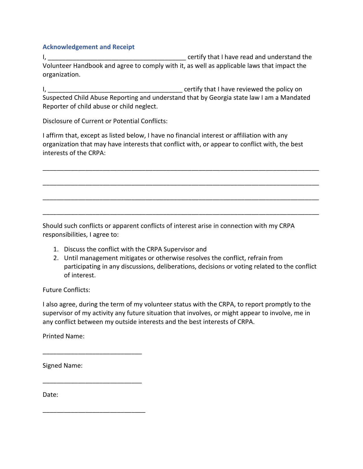#### **Acknowledgement and Receipt**

I, \_\_\_\_\_\_\_\_\_\_\_\_\_\_\_\_\_\_\_\_\_\_\_\_\_\_\_\_\_\_\_\_\_\_\_\_\_\_\_ certify that I have read and understand the Volunteer Handbook and agree to comply with it, as well as applicable laws that impact the organization.

I, \_\_\_\_\_\_\_\_\_\_\_\_\_\_\_\_\_\_\_\_\_\_\_\_\_\_\_\_\_\_\_\_\_\_\_\_\_\_ certify that I have reviewed the policy on Suspected Child Abuse Reporting and understand that by Georgia state law I am a Mandated Reporter of child abuse or child neglect.

Disclosure of Current or Potential Conflicts:

I affirm that, except as listed below, I have no financial interest or affiliation with any organization that may have interests that conflict with, or appear to conflict with, the best interests of the CRPA:

\_\_\_\_\_\_\_\_\_\_\_\_\_\_\_\_\_\_\_\_\_\_\_\_\_\_\_\_\_\_\_\_\_\_\_\_\_\_\_\_\_\_\_\_\_\_\_\_\_\_\_\_\_\_\_\_\_\_\_\_\_\_\_\_\_\_\_\_\_\_\_\_\_\_\_\_\_\_

\_\_\_\_\_\_\_\_\_\_\_\_\_\_\_\_\_\_\_\_\_\_\_\_\_\_\_\_\_\_\_\_\_\_\_\_\_\_\_\_\_\_\_\_\_\_\_\_\_\_\_\_\_\_\_\_\_\_\_\_\_\_\_\_\_\_\_\_\_\_\_\_\_\_\_\_\_\_

\_\_\_\_\_\_\_\_\_\_\_\_\_\_\_\_\_\_\_\_\_\_\_\_\_\_\_\_\_\_\_\_\_\_\_\_\_\_\_\_\_\_\_\_\_\_\_\_\_\_\_\_\_\_\_\_\_\_\_\_\_\_\_\_\_\_\_\_\_\_\_\_\_\_\_\_\_\_

\_\_\_\_\_\_\_\_\_\_\_\_\_\_\_\_\_\_\_\_\_\_\_\_\_\_\_\_\_\_\_\_\_\_\_\_\_\_\_\_\_\_\_\_\_\_\_\_\_\_\_\_\_\_\_\_\_\_\_\_\_\_\_\_\_\_\_\_\_\_\_\_\_\_\_\_\_\_

Should such conflicts or apparent conflicts of interest arise in connection with my CRPA responsibilities, I agree to:

- 1. Discuss the conflict with the CRPA Supervisor and
- 2. Until management mitigates or otherwise resolves the conflict, refrain from participating in any discussions, deliberations, decisions or voting related to the conflict of interest.

Future Conflicts:

I also agree, during the term of my volunteer status with the CRPA, to report promptly to the supervisor of my activity any future situation that involves, or might appear to involve, me in any conflict between my outside interests and the best interests of CRPA.

Printed Name:

\_\_\_\_\_\_\_\_\_\_\_\_\_\_\_\_\_\_\_\_\_\_\_\_\_\_\_\_

\_\_\_\_\_\_\_\_\_\_\_\_\_\_\_\_\_\_\_\_\_\_\_\_\_\_\_\_

\_\_\_\_\_\_\_\_\_\_\_\_\_\_\_\_\_\_\_\_\_\_\_\_\_\_\_\_\_

Signed Name:

Date: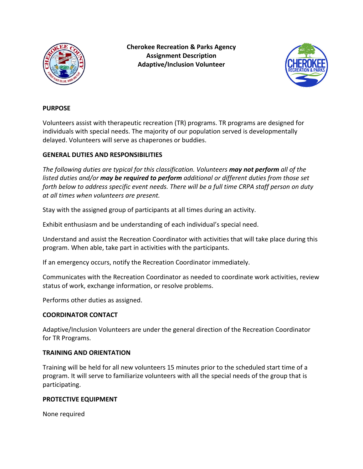

**Cherokee Recreation & Parks Agency Assignment Description Adaptive/Inclusion Volunteer**



#### **PURPOSE**

Volunteers assist with therapeutic recreation (TR) programs. TR programs are designed for individuals with special needs. The majority of our population served is developmentally delayed. Volunteers will serve as chaperones or buddies.

#### **GENERAL DUTIES AND RESPONSIBILITIES**

*The following duties are typical for this classification. Volunteers may not perform all of the listed duties and/or may be required to perform additional or different duties from those set forth below to address specific event needs. There will be a full time CRPA staff person on duty at all times when volunteers are present.* 

Stay with the assigned group of participants at all times during an activity.

Exhibit enthusiasm and be understanding of each individual's special need.

Understand and assist the Recreation Coordinator with activities that will take place during this program. When able, take part in activities with the participants.

If an emergency occurs, notify the Recreation Coordinator immediately.

Communicates with the Recreation Coordinator as needed to coordinate work activities, review status of work, exchange information, or resolve problems.

Performs other duties as assigned.

#### **COORDINATOR CONTACT**

Adaptive/Inclusion Volunteers are under the general direction of the Recreation Coordinator for TR Programs.

#### **TRAINING AND ORIENTATION**

Training will be held for all new volunteers 15 minutes prior to the scheduled start time of a program. It will serve to familiarize volunteers with all the special needs of the group that is participating.

#### **PROTECTIVE EQUIPMENT**

None required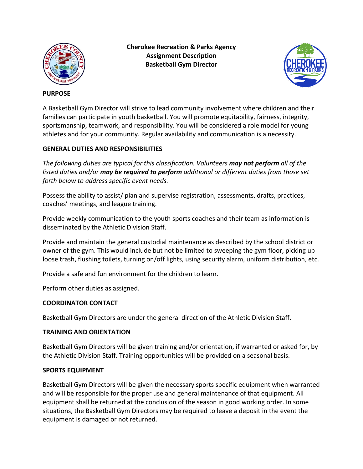

#### **Cherokee Recreation & Parks Agency Assignment Description Basketball Gym Director**



#### **PURPOSE**

A Basketball Gym Director will strive to lead community involvement where children and their families can participate in youth basketball. You will promote equitability, fairness, integrity, sportsmanship, teamwork, and responsibility. You will be considered a role model for young athletes and for your community. Regular availability and communication is a necessity.

# **GENERAL DUTIES AND RESPONSIBILITIES**

*The following duties are typical for this classification. Volunteers may not perform all of the listed duties and/or may be required to perform additional or different duties from those set forth below to address specific event needs.*

Possess the ability to assist/ plan and supervise registration, assessments, drafts, practices, coaches' meetings, and league training.

Provide weekly communication to the youth sports coaches and their team as information is disseminated by the Athletic Division Staff.

Provide and maintain the general custodial maintenance as described by the school district or owner of the gym. This would include but not be limited to sweeping the gym floor, picking up loose trash, flushing toilets, turning on/off lights, using security alarm, uniform distribution, etc.

Provide a safe and fun environment for the children to learn.

Perform other duties as assigned.

# **COORDINATOR CONTACT**

Basketball Gym Directors are under the general direction of the Athletic Division Staff.

# **TRAINING AND ORIENTATION**

Basketball Gym Directors will be given training and/or orientation, if warranted or asked for, by the Athletic Division Staff. Training opportunities will be provided on a seasonal basis.

# **SPORTS EQUIPMENT**

Basketball Gym Directors will be given the necessary sports specific equipment when warranted and will be responsible for the proper use and general maintenance of that equipment. All equipment shall be returned at the conclusion of the season in good working order. In some situations, the Basketball Gym Directors may be required to leave a deposit in the event the equipment is damaged or not returned.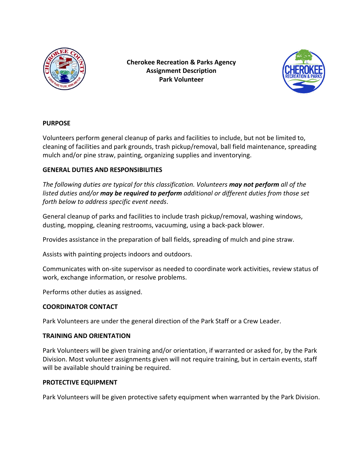

**Cherokee Recreation & Parks Agency Assignment Description Park Volunteer**



# **PURPOSE**

Volunteers perform general cleanup of parks and facilities to include, but not be limited to, cleaning of facilities and park grounds, trash pickup/removal, ball field maintenance, spreading mulch and/or pine straw, painting, organizing supplies and inventorying.

# **GENERAL DUTIES AND RESPONSIBILITIES**

*The following duties are typical for this classification. Volunteers may not perform all of the listed duties and/or may be required to perform additional or different duties from those set forth below to address specific event needs*.

General cleanup of parks and facilities to include trash pickup/removal, washing windows, dusting, mopping, cleaning restrooms, vacuuming, using a back-pack blower.

Provides assistance in the preparation of ball fields, spreading of mulch and pine straw.

Assists with painting projects indoors and outdoors.

Communicates with on-site supervisor as needed to coordinate work activities, review status of work, exchange information, or resolve problems.

Performs other duties as assigned.

#### **COORDINATOR CONTACT**

Park Volunteers are under the general direction of the Park Staff or a Crew Leader.

#### **TRAINING AND ORIENTATION**

Park Volunteers will be given training and/or orientation, if warranted or asked for, by the Park Division. Most volunteer assignments given will not require training, but in certain events, staff will be available should training be required.

#### **PROTECTIVE EQUIPMENT**

Park Volunteers will be given protective safety equipment when warranted by the Park Division.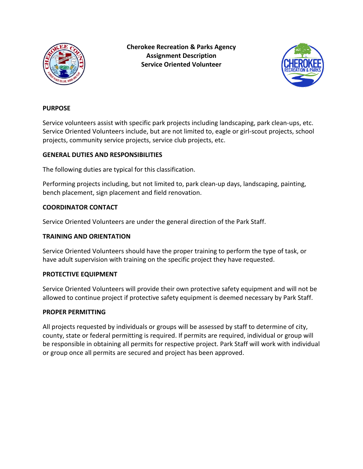

**Cherokee Recreation & Parks Agency Assignment Description Service Oriented Volunteer**



#### **PURPOSE**

Service volunteers assist with specific park projects including landscaping, park clean-ups, etc. Service Oriented Volunteers include, but are not limited to, eagle or girl-scout projects, school projects, community service projects, service club projects, etc.

#### **GENERAL DUTIES AND RESPONSIBILITIES**

The following duties are typical for this classification.

Performing projects including, but not limited to, park clean-up days, landscaping, painting, bench placement, sign placement and field renovation.

#### **COORDINATOR CONTACT**

Service Oriented Volunteers are under the general direction of the Park Staff.

#### **TRAINING AND ORIENTATION**

Service Oriented Volunteers should have the proper training to perform the type of task, or have adult supervision with training on the specific project they have requested.

#### **PROTECTIVE EQUIPMENT**

Service Oriented Volunteers will provide their own protective safety equipment and will not be allowed to continue project if protective safety equipment is deemed necessary by Park Staff.

#### **PROPER PERMITTING**

All projects requested by individuals or groups will be assessed by staff to determine of city, county, state or federal permitting is required. If permits are required, individual or group will be responsible in obtaining all permits for respective project. Park Staff will work with individual or group once all permits are secured and project has been approved.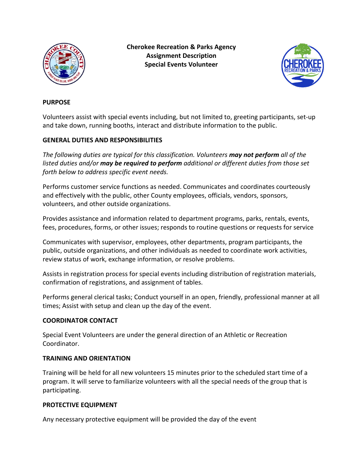

**Cherokee Recreation & Parks Agency Assignment Description Special Events Volunteer**



#### **PURPOSE**

Volunteers assist with special events including, but not limited to, greeting participants, set-up and take down, running booths, interact and distribute information to the public.

#### **GENERAL DUTIES AND RESPONSIBILITIES**

*The following duties are typical for this classification. Volunteers may not perform all of the listed duties and/or may be required to perform additional or different duties from those set forth below to address specific event needs.* 

Performs customer service functions as needed. Communicates and coordinates courteously and effectively with the public, other County employees, officials, vendors, sponsors, volunteers, and other outside organizations.

Provides assistance and information related to department programs, parks, rentals, events, fees, procedures, forms, or other issues; responds to routine questions or requests for service

Communicates with supervisor, employees, other departments, program participants, the public, outside organizations, and other individuals as needed to coordinate work activities, review status of work, exchange information, or resolve problems.

Assists in registration process for special events including distribution of registration materials, confirmation of registrations, and assignment of tables.

Performs general clerical tasks; Conduct yourself in an open, friendly, professional manner at all times; Assist with setup and clean up the day of the event.

#### **COORDINATOR CONTACT**

Special Event Volunteers are under the general direction of an Athletic or Recreation Coordinator.

#### **TRAINING AND ORIENTATION**

Training will be held for all new volunteers 15 minutes prior to the scheduled start time of a program. It will serve to familiarize volunteers with all the special needs of the group that is participating.

#### **PROTECTIVE EQUIPMENT**

Any necessary protective equipment will be provided the day of the event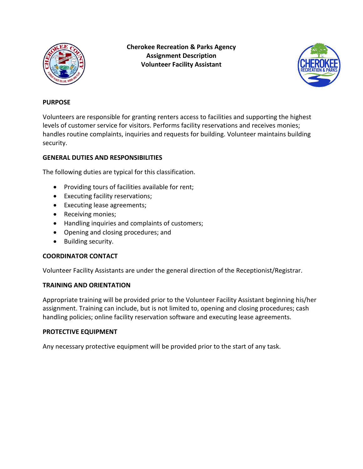

**Cherokee Recreation & Parks Agency Assignment Description Volunteer Facility Assistant**



#### **PURPOSE**

Volunteers are responsible for granting renters access to facilities and supporting the highest levels of customer service for visitors. Performs facility reservations and receives monies; handles routine complaints, inquiries and requests for building. Volunteer maintains building security.

# **GENERAL DUTIES AND RESPONSIBILITIES**

The following duties are typical for this classification.

- Providing tours of facilities available for rent;
- Executing facility reservations;
- Executing lease agreements;
- Receiving monies;
- Handling inquiries and complaints of customers;
- Opening and closing procedures; and
- Building security.

#### **COORDINATOR CONTACT**

Volunteer Facility Assistants are under the general direction of the Receptionist/Registrar.

#### **TRAINING AND ORIENTATION**

Appropriate training will be provided prior to the Volunteer Facility Assistant beginning his/her assignment. Training can include, but is not limited to, opening and closing procedures; cash handling policies; online facility reservation software and executing lease agreements.

#### **PROTECTIVE EQUIPMENT**

Any necessary protective equipment will be provided prior to the start of any task.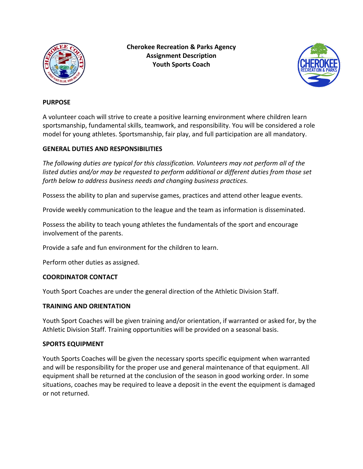

**Cherokee Recreation & Parks Agency Assignment Description Youth Sports Coach**



#### **PURPOSE**

A volunteer coach will strive to create a positive learning environment where children learn sportsmanship, fundamental skills, teamwork, and responsibility. You will be considered a role model for young athletes. Sportsmanship, fair play, and full participation are all mandatory.

#### **GENERAL DUTIES AND RESPONSIBILITIES**

*The following duties are typical for this classification. Volunteers may not perform all of the listed duties and/or may be requested to perform additional or different duties from those set forth below to address business needs and changing business practices.*

Possess the ability to plan and supervise games, practices and attend other league events.

Provide weekly communication to the league and the team as information is disseminated.

Possess the ability to teach young athletes the fundamentals of the sport and encourage involvement of the parents.

Provide a safe and fun environment for the children to learn.

Perform other duties as assigned.

#### **COORDINATOR CONTACT**

Youth Sport Coaches are under the general direction of the Athletic Division Staff.

#### **TRAINING AND ORIENTATION**

Youth Sport Coaches will be given training and/or orientation, if warranted or asked for, by the Athletic Division Staff. Training opportunities will be provided on a seasonal basis.

#### **SPORTS EQUIPMENT**

Youth Sports Coaches will be given the necessary sports specific equipment when warranted and will be responsibility for the proper use and general maintenance of that equipment. All equipment shall be returned at the conclusion of the season in good working order. In some situations, coaches may be required to leave a deposit in the event the equipment is damaged or not returned.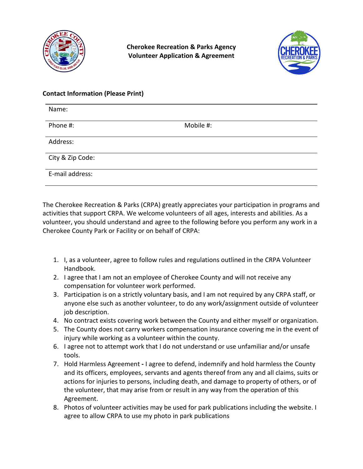

**Cherokee Recreation & Parks Agency Volunteer Application & Agreement**



#### **Contact Information (Please Print)**

| Name:            |           |
|------------------|-----------|
| Phone #:         | Mobile #: |
| Address:         |           |
| City & Zip Code: |           |
| E-mail address:  |           |

The Cherokee Recreation & Parks (CRPA) greatly appreciates your participation in programs and activities that support CRPA. We welcome volunteers of all ages, interests and abilities. As a volunteer, you should understand and agree to the following before you perform any work in a Cherokee County Park or Facility or on behalf of CRPA:

- 1. I, as a volunteer, agree to follow rules and regulations outlined in the CRPA Volunteer Handbook.
- 2. I agree that I am not an employee of Cherokee County and will not receive any compensation for volunteer work performed.
- 3. Participation is on a strictly voluntary basis, and I am not required by any CRPA staff, or anyone else such as another volunteer, to do any work/assignment outside of volunteer job description.
- 4. No contract exists covering work between the County and either myself or organization.
- 5. The County does not carry workers compensation insurance covering me in the event of injury while working as a volunteer within the county.
- 6. I agree not to attempt work that I do not understand or use unfamiliar and/or unsafe tools.
- 7. Hold Harmless Agreement **-** I agree to defend, indemnify and hold harmless the County and its officers, employees, servants and agents thereof from any and all claims, suits or actions for injuries to persons, including death, and damage to property of others, or of the volunteer, that may arise from or result in any way from the operation of this Agreement.
- 8. Photos of volunteer activities may be used for park publications including the website. I agree to allow CRPA to use my photo in park publications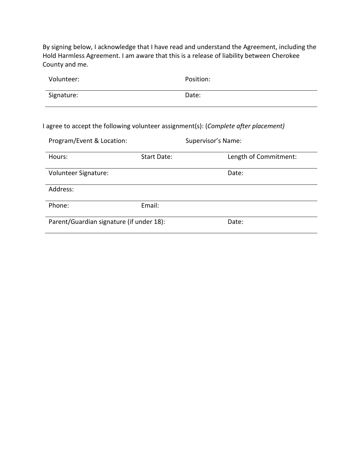By signing below, I acknowledge that I have read and understand the Agreement, including the Hold Harmless Agreement. I am aware that this is a release of liability between Cherokee County and me.

| Volunteer: | Position: |
|------------|-----------|
| Signature: | Date:     |

I agree to accept the following volunteer assignment(s): (*Complete after placement)*

| Program/Event & Location:                |             | Supervisor's Name:    |
|------------------------------------------|-------------|-----------------------|
| Hours:                                   | Start Date: | Length of Commitment: |
| Volunteer Signature:                     |             | Date:                 |
| Address:                                 |             |                       |
| Phone:                                   | Email:      |                       |
| Parent/Guardian signature (if under 18): |             | Date:                 |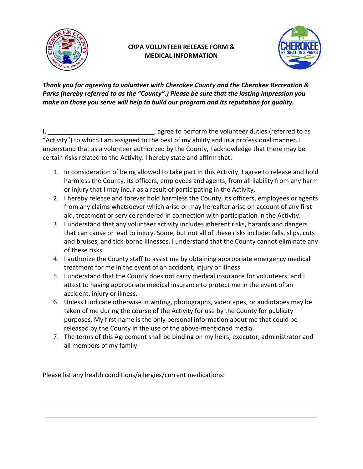

# **CRPA VOLUNTEER RELEASE FORM & MEDICAL INFORMATION**



*Thank you for agreeing to volunteer with Cherokee County and the Cherokee Recreation & Parks (hereby referred to as the "County".) Please be sure that the lasting impression you make on those you serve will help to build our program and its reputation for quality.*

I, the same of the same of the volunteer duties (referred to as  $\overline{a}$ "Activity") to which I am assigned to the best of my ability and in a professional manner. I understand that as a volunteer authorized by the County, I acknowledge that there may be certain risks related to the Activity. I hereby state and affirm that:

- 1. In consideration of being allowed to take part in this Activity, I agree to release and hold harmless the County, its officers, employees and agents, from all liability from any harm or injury that I may incur as a result of participating in the Activity.
- 2. I hereby release and forever hold harmless the County, its officers, employees or agents from any claims whatsoever which arise or may hereafter arise on account of any first aid, treatment or service rendered in connection with participation in the Activity.
- 3. I understand that any volunteer activity includes inherent risks, hazards and dangers that can cause or lead to injury. Some, but not all of these risks include: falls, slips, cuts and bruises, and tick-borne illnesses. I understand that the County cannot eliminate any of these risks.
- 4. I authorize the County staff to assist me by obtaining appropriate emergency medical treatment for me in the event of an accident, injury or illness.
- 5. I understand that the County does not carry medical insurance for volunteers, and I attest to having appropriate medical insurance to protect me in the event of an accident, injury or illness.
- 6. Unless I indicate otherwise in writing, photographs, videotapes, or audiotapes may be taken of me during the course of the Activity for use by the County for publicity purposes. My first name is the only personal information about me that could be released by the County in the use of the above-mentioned media.
- 7. The terms of this Agreement shall be binding on my heirs, executor, administrator and all members of my family.

Please list any health conditions/allergies/current medications: